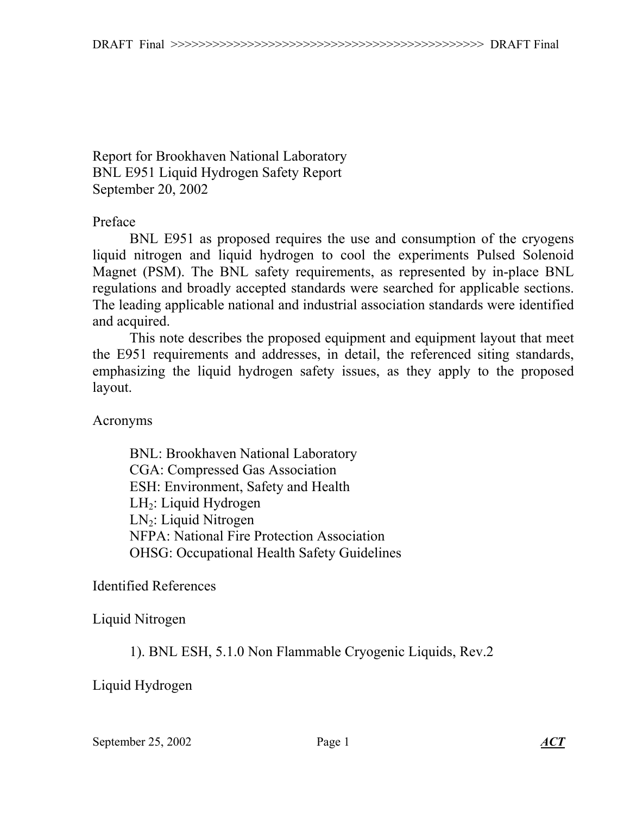Report for Brookhaven National Laboratory BNL E951 Liquid Hydrogen Safety Report September 20, 2002

#### Preface

 BNL E951 as proposed requires the use and consumption of the cryogens liquid nitrogen and liquid hydrogen to cool the experiments Pulsed Solenoid Magnet (PSM). The BNL safety requirements, as represented by in-place BNL regulations and broadly accepted standards were searched for applicable sections. The leading applicable national and industrial association standards were identified and acquired.

 This note describes the proposed equipment and equipment layout that meet the E951 requirements and addresses, in detail, the referenced siting standards, emphasizing the liquid hydrogen safety issues, as they apply to the proposed layout.

Acronyms

BNL: Brookhaven National Laboratory CGA: Compressed Gas Association ESH: Environment, Safety and Health  $LH<sub>2</sub>$ : Liquid Hydrogen  $LN<sub>2</sub>$ : Liquid Nitrogen NFPA: National Fire Protection Association OHSG: Occupational Health Safety Guidelines

Identified References

Liquid Nitrogen

1). BNL ESH, 5.1.0 Non Flammable Cryogenic Liquids, Rev.2

#### Liquid Hydrogen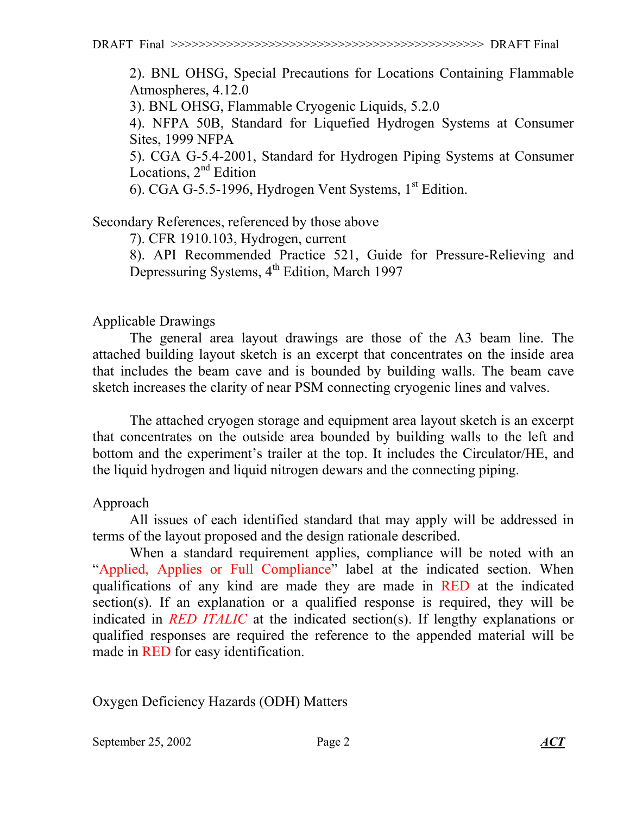2). BNL OHSG, Special Precautions for Locations Containing Flammable Atmospheres, 4.12.0

3). BNL OHSG, Flammable Cryogenic Liquids, 5.2.0

4). NFPA 50B, Standard for Liquefied Hydrogen Systems at Consumer Sites, 1999 NFPA

5). CGA G-5.4-2001, Standard for Hydrogen Piping Systems at Consumer Locations,  $2<sup>nd</sup>$  Edition

6). CGA G-5.5-1996, Hydrogen Vent Systems,  $1<sup>st</sup>$  Edition.

Secondary References, referenced by those above

7). CFR 1910.103, Hydrogen, current

8). API Recommended Practice 521, Guide for Pressure-Relieving and Depressuring Systems, 4<sup>th</sup> Edition, March 1997

### Applicable Drawings

The general area layout drawings are those of the A3 beam line. The attached building layout sketch is an excerpt that concentrates on the inside area that includes the beam cave and is bounded by building walls. The beam cave sketch increases the clarity of near PSM connecting cryogenic lines and valves.

 The attached cryogen storage and equipment area layout sketch is an excerpt that concentrates on the outside area bounded by building walls to the left and bottom and the experiment's trailer at the top. It includes the Circulator/HE, and the liquid hydrogen and liquid nitrogen dewars and the connecting piping.

### Approach

 All issues of each identified standard that may apply will be addressed in terms of the layout proposed and the design rationale described.

 When a standard requirement applies, compliance will be noted with an "Applied, Applies or Full Compliance" label at the indicated section. When qualifications of any kind are made they are made in RED at the indicated section(s). If an explanation or a qualified response is required, they will be indicated in *RED ITALIC* at the indicated section(s). If lengthy explanations or qualified responses are required the reference to the appended material will be made in RED for easy identification.

Oxygen Deficiency Hazards (ODH) Matters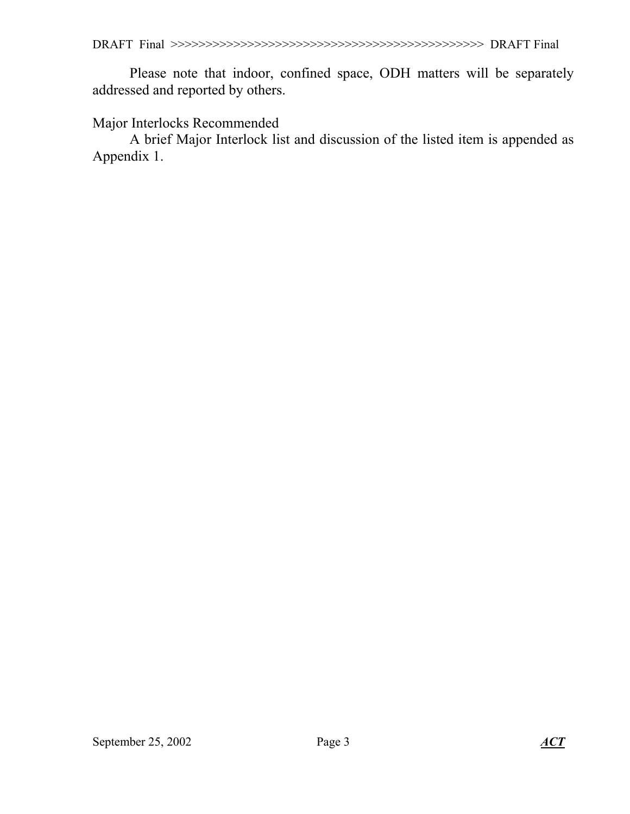Please note that indoor, confined space, ODH matters will be separately addressed and reported by others.

#### Major Interlocks Recommended

 A brief Major Interlock list and discussion of the listed item is appended as Appendix 1.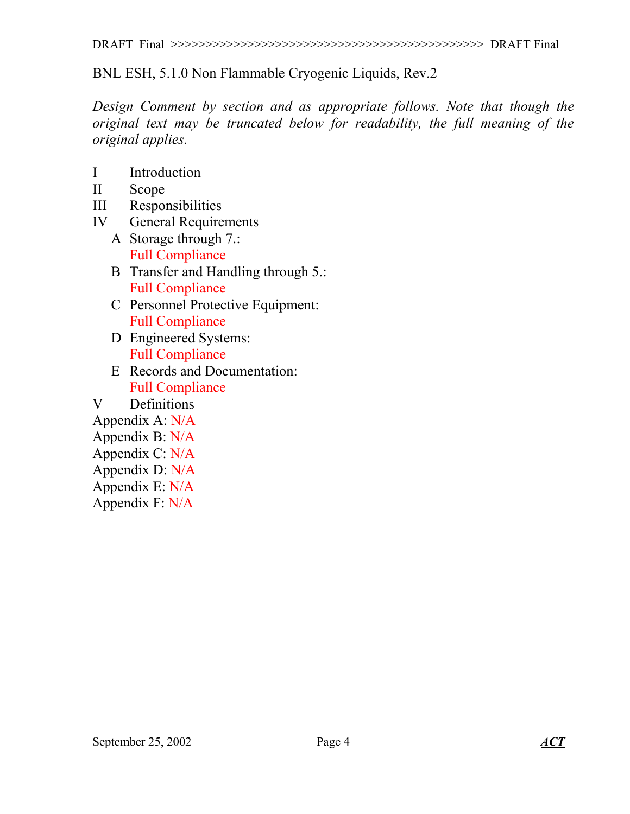### BNL ESH, 5.1.0 Non Flammable Cryogenic Liquids, Rev.2

*Design Comment by section and as appropriate follows. Note that though the original text may be truncated below for readability, the full meaning of the original applies.* 

- I Introduction
- II Scope
- III Responsibilities
- IV General Requirements
	- A Storage through 7.: Full Compliance
	- B Transfer and Handling through 5.: Full Compliance
	- C Personnel Protective Equipment: Full Compliance
	- D Engineered Systems: Full Compliance
	- E Records and Documentation: Full Compliance
- V Definitions
- Appendix A: N/A
- Appendix B: N/A
- Appendix C: N/A
- Appendix D: N/A
- Appendix E: N/A
- Appendix F: N/A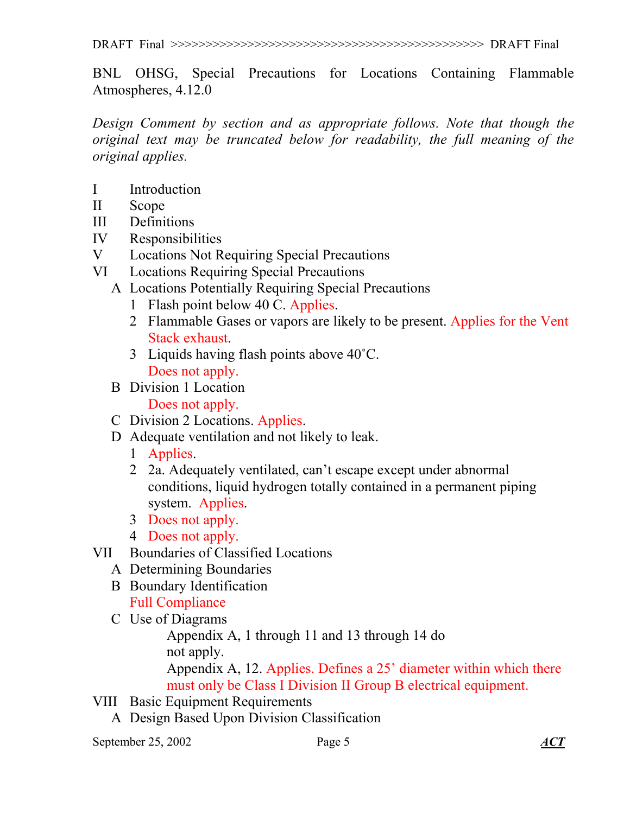BNL OHSG, Special Precautions for Locations Containing Flammable Atmospheres, 4.12.0

*Design Comment by section and as appropriate follows. Note that though the original text may be truncated below for readability, the full meaning of the original applies.* 

- I Introduction
- II Scope
- III Definitions
- IV Responsibilities
- V Locations Not Requiring Special Precautions
- VI Locations Requiring Special Precautions
	- A Locations Potentially Requiring Special Precautions
		- 1 Flash point below 40 C. Applies.
		- 2 Flammable Gases or vapors are likely to be present. Applies for the Vent Stack exhaust.
		- 3 Liquids having flash points above 40˚C. Does not apply.
	- B Division 1 Location
		- Does not apply.
	- C Division 2 Locations. Applies.
	- D Adequate ventilation and not likely to leak.
		- 1 Applies.
		- 2 2a. Adequately ventilated, can't escape except under abnormal conditions, liquid hydrogen totally contained in a permanent piping system. Applies.
		- 3 Does not apply.
		- 4 Does not apply.
- VII Boundaries of Classified Locations
	- A Determining Boundaries
	- B Boundary Identification
		- Full Compliance
	- C Use of Diagrams

Appendix A, 1 through 11 and 13 through 14 do not apply.

Appendix A, 12. Applies. Defines a 25' diameter within which there must only be Class I Division II Group B electrical equipment.

- VIII Basic Equipment Requirements
	- A Design Based Upon Division Classification

September 25, 2002 Page 5 *ACT*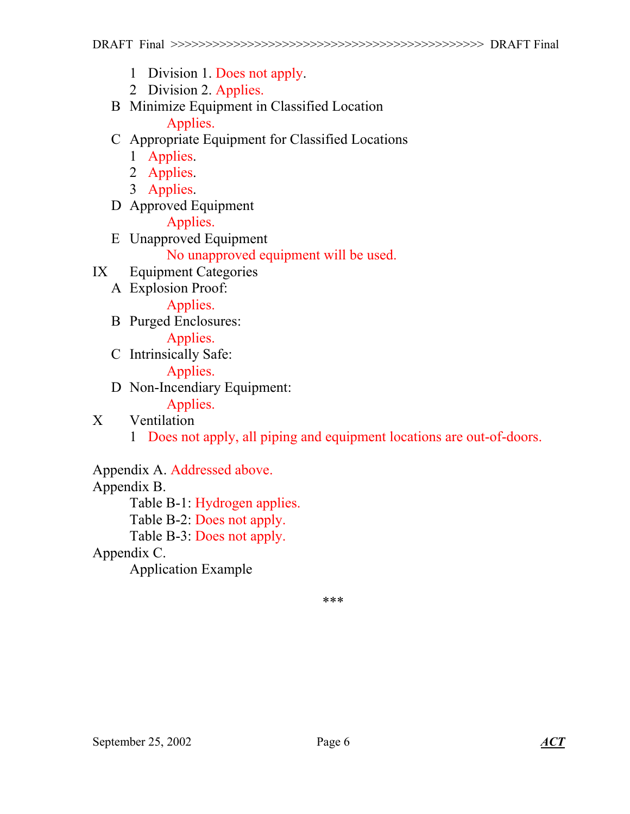- 1 Division 1. Does not apply.
- 2 Division 2. Applies.
- B Minimize Equipment in Classified Location Applies.
- C Appropriate Equipment for Classified Locations
	- 1 Applies.
	- 2 Applies.
	- 3 Applies.
- D Approved Equipment

Applies.

E Unapproved Equipment

No unapproved equipment will be used.

- IX Equipment Categories
	- A Explosion Proof:

Applies.

B Purged Enclosures:

Applies.

C Intrinsically Safe: Applies.

D Non-Incendiary Equipment:

- Applies.
- X Ventilation
	- 1 Does not apply, all piping and equipment locations are out-of-doors.

Appendix A. Addressed above.

# Appendix B.

Table B-1: Hydrogen applies.

Table B-2: Does not apply.

Table B-3: Does not apply.

## Appendix C.

Application Example

\*\*\*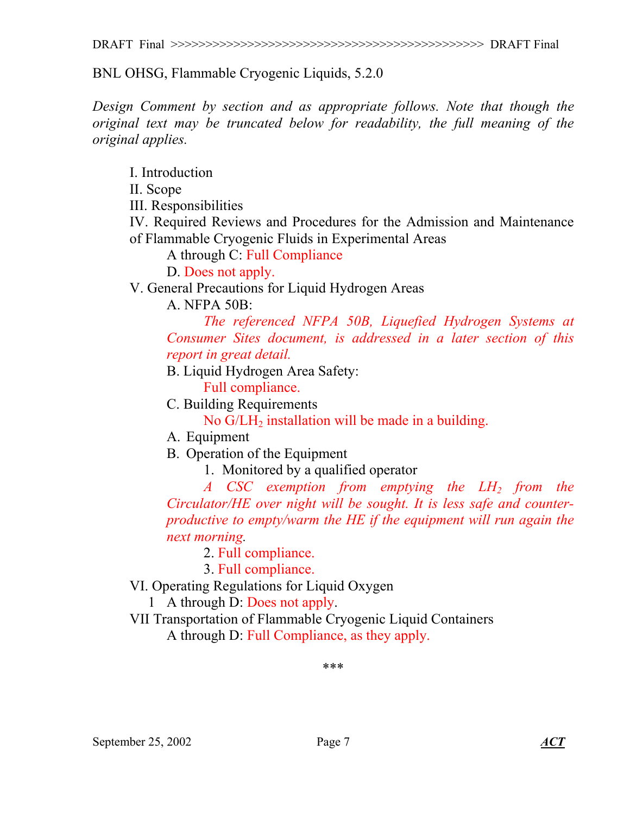BNL OHSG, Flammable Cryogenic Liquids, 5.2.0

*Design Comment by section and as appropriate follows. Note that though the original text may be truncated below for readability, the full meaning of the original applies.* 

I. Introduction II. Scope III. Responsibilities IV. Required Reviews and Procedures for the Admission and Maintenance of Flammable Cryogenic Fluids in Experimental Areas

A through C: Full Compliance

D. Does not apply.

V. General Precautions for Liquid Hydrogen Areas

A. NFPA 50B:

*The referenced NFPA 50B, Liquefied Hydrogen Systems at Consumer Sites document, is addressed in a later section of this report in great detail.* 

B. Liquid Hydrogen Area Safety:

Full compliance.

C. Building Requirements

No  $G/LH_2$  installation will be made in a building.

A. Equipment

B. Operation of the Equipment

1. Monitored by a qualified operator

*A CSC exemption from emptying the LH2 from the Circulator/HE over night will be sought. It is less safe and counterproductive to empty/warm the HE if the equipment will run again the next morning.* 

2. Full compliance.

3. Full compliance.

VI. Operating Regulations for Liquid Oxygen

1 A through D: Does not apply.

VII Transportation of Flammable Cryogenic Liquid Containers

A through D: Full Compliance, as they apply.

\*\*\*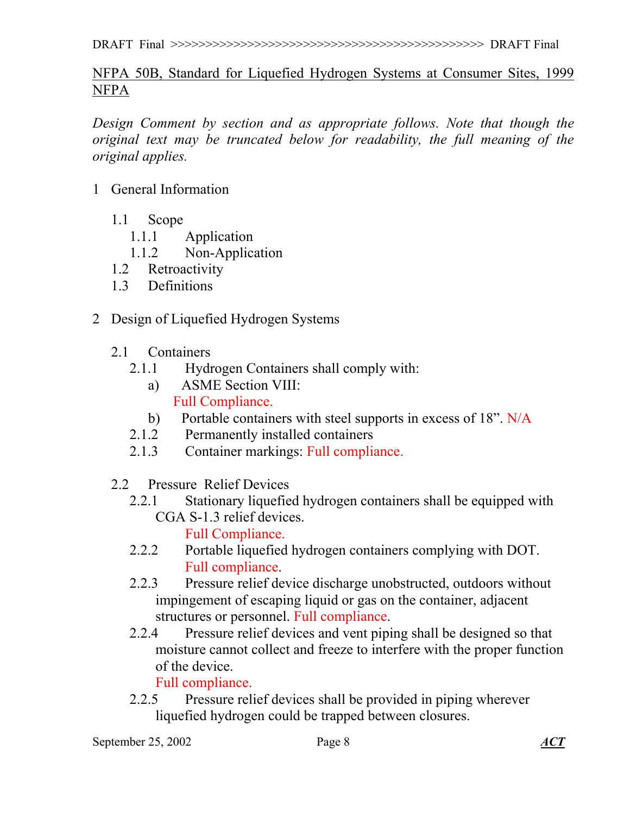### NFPA 50B, Standard for Liquefied Hydrogen Systems at Consumer Sites, 1999 NFPA

*Design Comment by section and as appropriate follows. Note that though the original text may be truncated below for readability, the full meaning of the original applies.* 

- 1 General Information
	- 1.1 Scope
		- 1.1.1 Application
		- 1.1.2 Non-Application
	- 1.2 Retroactivity
	- 1.3 Definitions

## 2 Design of Liquefied Hydrogen Systems

- 2.1 Containers
	- 2.1.1 Hydrogen Containers shall comply with:
		- a) ASME Section VIII: Full Compliance.
		- b) Portable containers with steel supports in excess of 18". N/A
	- 2.1.2 Permanently installed containers
	- 2.1.3 Container markings: Full compliance.
- 2.2 Pressure Relief Devices
	- 2.2.1 Stationary liquefied hydrogen containers shall be equipped with CGA S-1.3 relief devices. Full Compliance.
	- 2.2.2 Portable liquefied hydrogen containers complying with DOT. Full compliance.
	- 2.2.3 Pressure relief device discharge unobstructed, outdoors without impingement of escaping liquid or gas on the container, adjacent structures or personnel. Full compliance.
	- 2.2.4 Pressure relief devices and vent piping shall be designed so that moisture cannot collect and freeze to interfere with the proper function of the device.

Full compliance.

2.2.5 Pressure relief devices shall be provided in piping wherever liquefied hydrogen could be trapped between closures.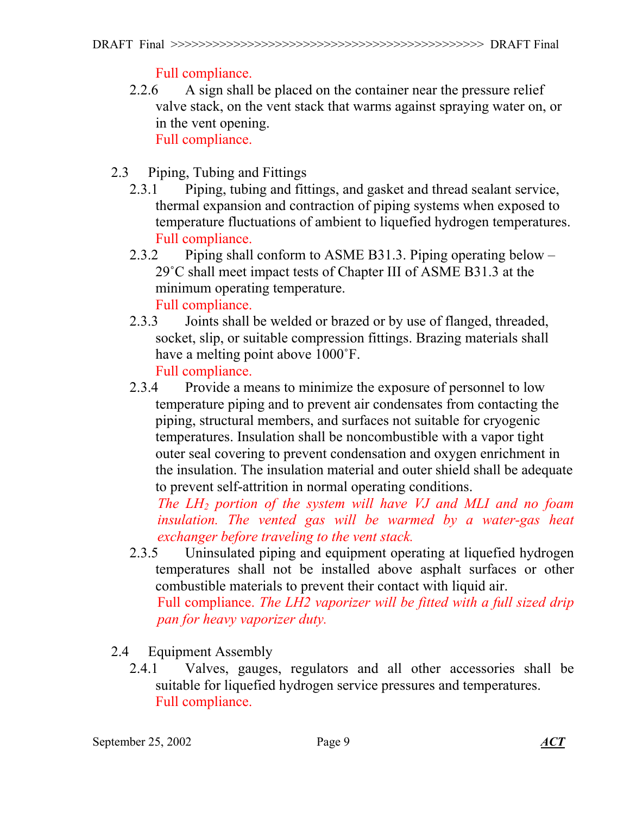Full compliance.

- 2.2.6 A sign shall be placed on the container near the pressure relief valve stack, on the vent stack that warms against spraying water on, or in the vent opening. Full compliance.
- 2.3 Piping, Tubing and Fittings
	- 2.3.1 Piping, tubing and fittings, and gasket and thread sealant service, thermal expansion and contraction of piping systems when exposed to temperature fluctuations of ambient to liquefied hydrogen temperatures. Full compliance.
	- 2.3.2 Piping shall conform to ASME B31.3. Piping operating below 29˚C shall meet impact tests of Chapter III of ASME B31.3 at the minimum operating temperature. Full compliance.
	- 2.3.3 Joints shall be welded or brazed or by use of flanged, threaded, socket, slip, or suitable compression fittings. Brazing materials shall have a melting point above 1000˚F. Full compliance.
	- 2.3.4 Provide a means to minimize the exposure of personnel to low temperature piping and to prevent air condensates from contacting the piping, structural members, and surfaces not suitable for cryogenic temperatures. Insulation shall be noncombustible with a vapor tight outer seal covering to prevent condensation and oxygen enrichment in the insulation. The insulation material and outer shield shall be adequate to prevent self-attrition in normal operating conditions.

The LH<sub>2</sub> portion of the system will have VJ and MLI and no foam insulation. The vented gas will be warmed by a water-gas heat *exchanger before traveling to the vent stack.* 

2.3.5 Uninsulated piping and equipment operating at liquefied hydrogen temperatures shall not be installed above asphalt surfaces or other combustible materials to prevent their contact with liquid air. Full compliance. *The LH2 vaporizer will be fitted with a full sized drip* 

*pan for heavy vaporizer duty.* 

- 2.4 Equipment Assembly
	- 2.4.1 Valves, gauges, regulators and all other accessories shall be suitable for liquefied hydrogen service pressures and temperatures. Full compliance.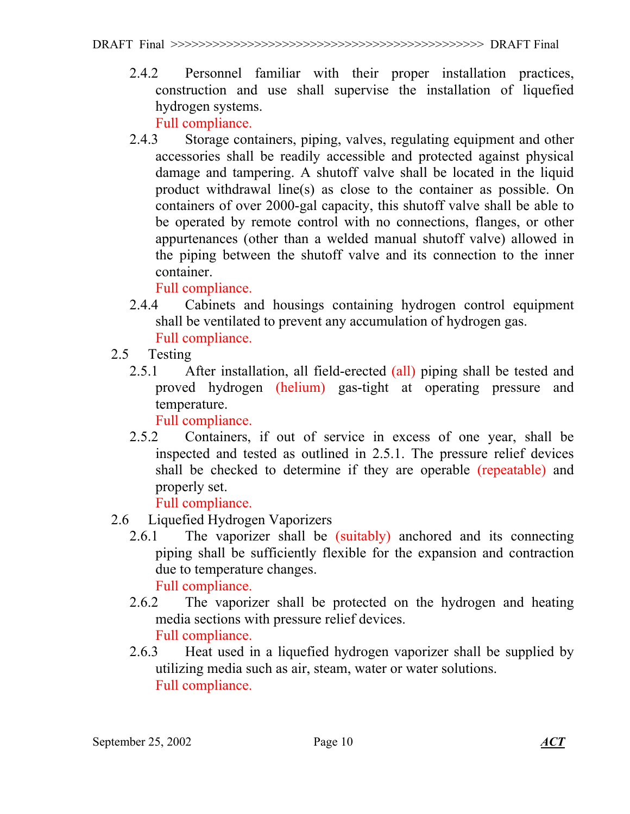2.4.2 Personnel familiar with their proper installation practices, construction and use shall supervise the installation of liquefied hydrogen systems.

Full compliance.

2.4.3 Storage containers, piping, valves, regulating equipment and other accessories shall be readily accessible and protected against physical damage and tampering. A shutoff valve shall be located in the liquid product withdrawal line(s) as close to the container as possible. On containers of over 2000-gal capacity, this shutoff valve shall be able to be operated by remote control with no connections, flanges, or other appurtenances (other than a welded manual shutoff valve) allowed in the piping between the shutoff valve and its connection to the inner container.

Full compliance.

- 2.4.4 Cabinets and housings containing hydrogen control equipment shall be ventilated to prevent any accumulation of hydrogen gas. Full compliance.
- 2.5 Testing
	- 2.5.1 After installation, all field-erected (all) piping shall be tested and proved hydrogen (helium) gas-tight at operating pressure and temperature.

Full compliance.

2.5.2 Containers, if out of service in excess of one year, shall be inspected and tested as outlined in 2.5.1. The pressure relief devices shall be checked to determine if they are operable (repeatable) and properly set.

Full compliance.

- 2.6 Liquefied Hydrogen Vaporizers
	- 2.6.1 The vaporizer shall be (suitably) anchored and its connecting piping shall be sufficiently flexible for the expansion and contraction due to temperature changes. Full compliance.
	- 2.6.2 The vaporizer shall be protected on the hydrogen and heating media sections with pressure relief devices. Full compliance.
	- 2.6.3 Heat used in a liquefied hydrogen vaporizer shall be supplied by utilizing media such as air, steam, water or water solutions. Full compliance.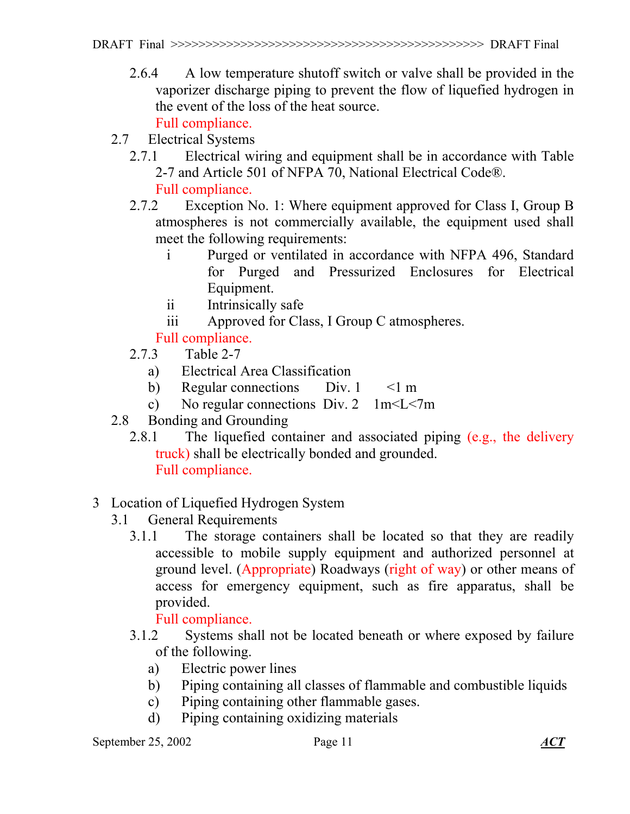- 2.6.4 A low temperature shutoff switch or valve shall be provided in the vaporizer discharge piping to prevent the flow of liquefied hydrogen in the event of the loss of the heat source. Full compliance.
- 2.7 Electrical Systems
	- 2.7.1 Electrical wiring and equipment shall be in accordance with Table 2-7 and Article 501 of NFPA 70, National Electrical Code®. Full compliance.
	- 2.7.2 Exception No. 1: Where equipment approved for Class I, Group B atmospheres is not commercially available, the equipment used shall meet the following requirements:
		- i Purged or ventilated in accordance with NFPA 496, Standard for Purged and Pressurized Enclosures for Electrical Equipment.
		- ii Intrinsically safe
		- iii Approved for Class, I Group C atmospheres.
		- Full compliance.
	- 2.7.3 Table 2-7
		- a) Electrical Area Classification
		- b) Regular connections Div.  $1 \le l$  m
		- c) No regular connections Div. 2  $1m < L < 7m$
- 2.8 Bonding and Grounding
	- 2.8.1 The liquefied container and associated piping (e.g., the delivery truck) shall be electrically bonded and grounded. Full compliance.
- 3 Location of Liquefied Hydrogen System
	- 3.1 General Requirements
		- 3.1.1 The storage containers shall be located so that they are readily accessible to mobile supply equipment and authorized personnel at ground level. (Appropriate) Roadways (right of way) or other means of access for emergency equipment, such as fire apparatus, shall be provided.

Full compliance.

- 3.1.2 Systems shall not be located beneath or where exposed by failure of the following.
	- a) Electric power lines
	- b) Piping containing all classes of flammable and combustible liquids
	- c) Piping containing other flammable gases.
	- d) Piping containing oxidizing materials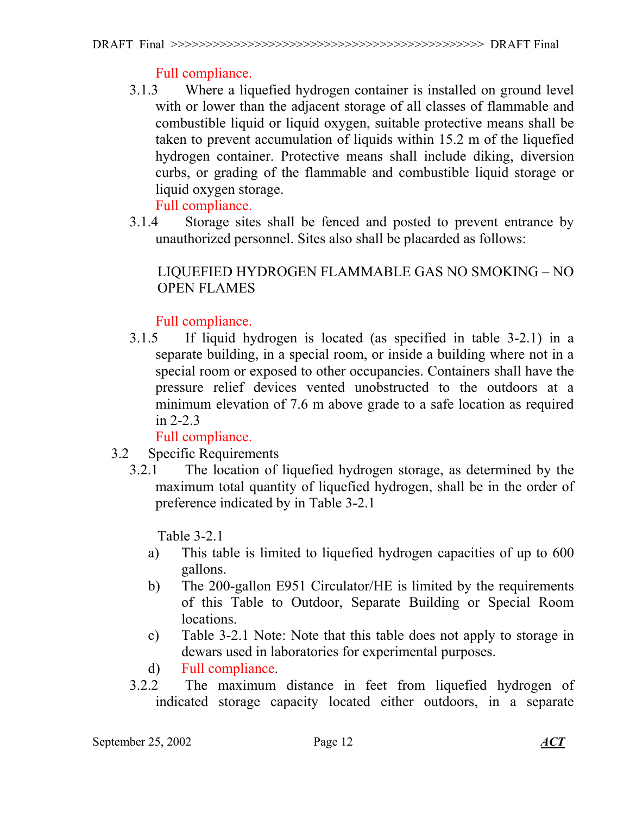### Full compliance.

3.1.3 Where a liquefied hydrogen container is installed on ground level with or lower than the adjacent storage of all classes of flammable and combustible liquid or liquid oxygen, suitable protective means shall be taken to prevent accumulation of liquids within 15.2 m of the liquefied hydrogen container. Protective means shall include diking, diversion curbs, or grading of the flammable and combustible liquid storage or liquid oxygen storage.

Full compliance.

3.1.4 Storage sites shall be fenced and posted to prevent entrance by unauthorized personnel. Sites also shall be placarded as follows:

### LIQUEFIED HYDROGEN FLAMMABLE GAS NO SMOKING – NO OPEN FLAMES

## Full compliance.

3.1.5 If liquid hydrogen is located (as specified in table 3-2.1) in a separate building, in a special room, or inside a building where not in a special room or exposed to other occupancies. Containers shall have the pressure relief devices vented unobstructed to the outdoors at a minimum elevation of 7.6 m above grade to a safe location as required in 2-2.3

### Full compliance.

- 3.2 Specific Requirements
	- 3.2.1 The location of liquefied hydrogen storage, as determined by the maximum total quantity of liquefied hydrogen, shall be in the order of preference indicated by in Table 3-2.1

Table 3-2.1

- a) This table is limited to liquefied hydrogen capacities of up to 600 gallons.
- b) The 200-gallon E951 Circulator/HE is limited by the requirements of this Table to Outdoor, Separate Building or Special Room locations.
- c) Table 3-2.1 Note: Note that this table does not apply to storage in dewars used in laboratories for experimental purposes.
- d) Full compliance.
- 3.2.2 The maximum distance in feet from liquefied hydrogen of indicated storage capacity located either outdoors, in a separate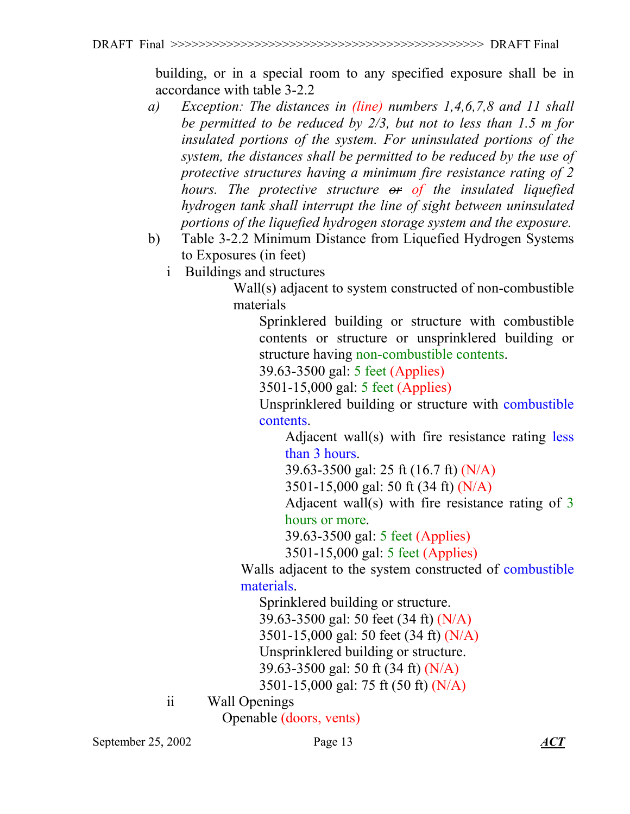building, or in a special room to any specified exposure shall be in accordance with table 3-2.2

- *a) Exception: The distances in (line) numbers 1,4,6,7,8 and 11 shall be permitted to be reduced by 2/3, but not to less than 1.5 m for insulated portions of the system. For uninsulated portions of the system, the distances shall be permitted to be reduced by the use of protective structures having a minimum fire resistance rating of 2 hours. The protective structure or of the insulated liquefied hydrogen tank shall interrupt the line of sight between uninsulated portions of the liquefied hydrogen storage system and the exposure.*
- b) Table 3-2.2 Minimum Distance from Liquefied Hydrogen Systems to Exposures (in feet)
	- i Buildings and structures

Wall(s) adjacent to system constructed of non-combustible materials

Sprinklered building or structure with combustible contents or structure or unsprinklered building or structure having non-combustible contents.

39.63-3500 gal: 5 feet (Applies)

3501-15,000 gal: 5 feet (Applies)

Unsprinklered building or structure with combustible contents.

Adjacent wall(s) with fire resistance rating less than 3 hours.

39.63-3500 gal: 25 ft (16.7 ft) (N/A)

3501-15,000 gal: 50 ft (34 ft) (N/A)

Adjacent wall(s) with fire resistance rating of 3 hours or more.

39.63-3500 gal: 5 feet (Applies)

3501-15,000 gal: 5 feet (Applies)

Walls adjacent to the system constructed of combustible materials.

Sprinklered building or structure. 39.63-3500 gal: 50 feet (34 ft) (N/A) 3501-15,000 gal: 50 feet (34 ft) (N/A) Unsprinklered building or structure. 39.63-3500 gal: 50 ft (34 ft) (N/A)

3501-15,000 gal: 75 ft (50 ft) (N/A)

ii Wall Openings

Openable (doors, vents)

September 25, 2002 Page 13 *ACT*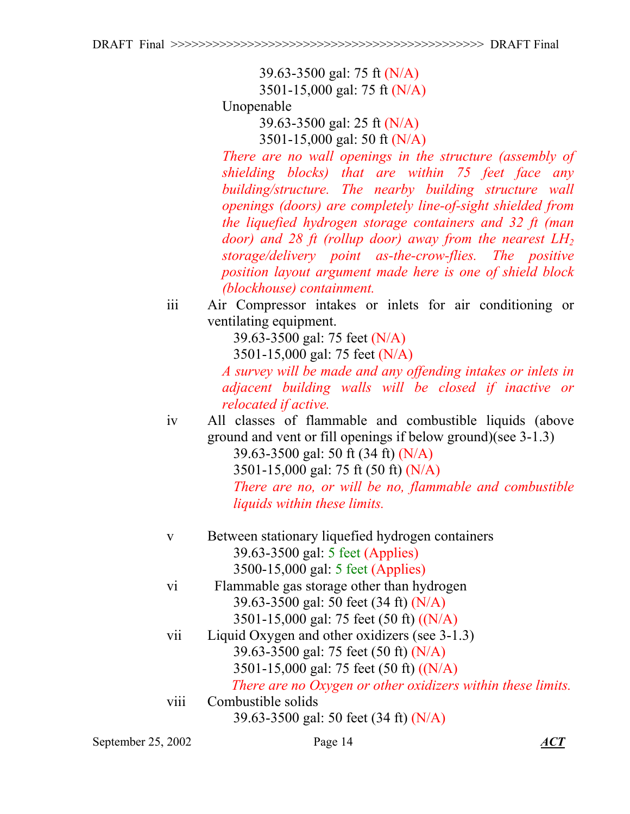39.63-3500 gal: 75 ft (N/A) 3501-15,000 gal: 75 ft (N/A)

Unopenable

39.63-3500 gal: 25 ft (N/A) 3501-15,000 gal: 50 ft (N/A)

*There are no wall openings in the structure (assembly of shielding blocks) that are within 75 feet face any building/structure. The nearby building structure wall openings (doors) are completely line-of-sight shielded from the liquefied hydrogen storage containers and 32 ft (man door) and 28 ft (rollup door) away from the nearest LH2 storage/delivery point as-the-crow-flies. The positive position layout argument made here is one of shield block (blockhouse) containment.*

iii Air Compressor intakes or inlets for air conditioning or ventilating equipment.

39.63-3500 gal: 75 feet (N/A)

3501-15,000 gal: 75 feet (N/A)

*A survey will be made and any offending intakes or inlets in adjacent building walls will be closed if inactive or relocated if active.*

iv All classes of flammable and combustible liquids (above ground and vent or fill openings if below ground)(see 3-1.3)

39.63-3500 gal: 50 ft (34 ft) (N/A) 3501-15,000 gal: 75 ft (50 ft) (N/A) *There are no, or will be no, flammable and combustible* 

*liquids within these limits.* 

- v Between stationary liquefied hydrogen containers 39.63-3500 gal: 5 feet (Applies) 3500-15,000 gal: 5 feet (Applies)
- vi Flammable gas storage other than hydrogen 39.63-3500 gal: 50 feet (34 ft) (N/A) 3501-15,000 gal: 75 feet (50 ft) ((N/A)
- vii Liquid Oxygen and other oxidizers (see 3-1.3) 39.63-3500 gal: 75 feet (50 ft) (N/A) 3501-15,000 gal: 75 feet (50 ft) ((N/A)

*There are no Oxygen or other oxidizers within these limits.*  viii Combustible solids

39.63-3500 gal: 50 feet (34 ft) (N/A)

September 25, 2002 **Page 14** *ACT*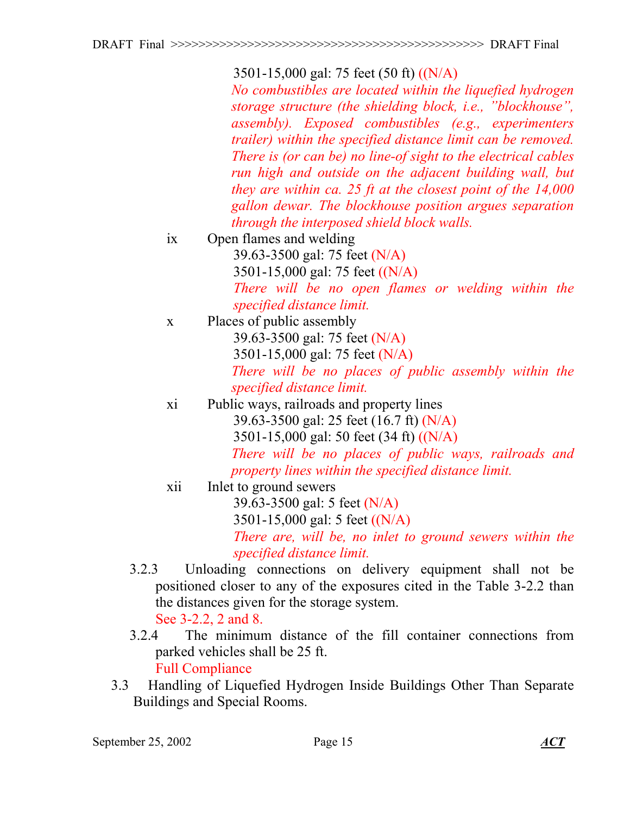3501-15,000 gal: 75 feet (50 ft) ((N/A)

*No combustibles are located within the liquefied hydrogen storage structure (the shielding block, i.e., "blockhouse", assembly). Exposed combustibles (e.g., experimenters trailer) within the specified distance limit can be removed. There is (or can be) no line-of sight to the electrical cables run high and outside on the adjacent building wall, but they are within ca. 25 ft at the closest point of the 14,000 gallon dewar. The blockhouse position argues separation through the interposed shield block walls.* 

- ix Open flames and welding 39.63-3500 gal: 75 feet (N/A) 3501-15,000 gal: 75 feet ((N/A) *There will be no open flames or welding within the specified distance limit.*
- x Places of public assembly 39.63-3500 gal: 75 feet (N/A) 3501-15,000 gal: 75 feet (N/A) *There will be no places of public assembly within the specified distance limit.*
- xi Public ways, railroads and property lines 39.63-3500 gal: 25 feet (16.7 ft) (N/A) 3501-15,000 gal: 50 feet (34 ft) ((N/A) *There will be no places of public ways, railroads and property lines within the specified distance limit.*
- xii Inlet to ground sewers

39.63-3500 gal: 5 feet (N/A) 3501-15,000 gal: 5 feet ((N/A) *There are, will be, no inlet to ground sewers within the specified distance limit.* 

- 3.2.3 Unloading connections on delivery equipment shall not be positioned closer to any of the exposures cited in the Table 3-2.2 than the distances given for the storage system. See 3-2.2, 2 and 8.
- 3.2.4 The minimum distance of the fill container connections from parked vehicles shall be 25 ft. Full Compliance
- 3.3 Handling of Liquefied Hydrogen Inside Buildings Other Than Separate Buildings and Special Rooms.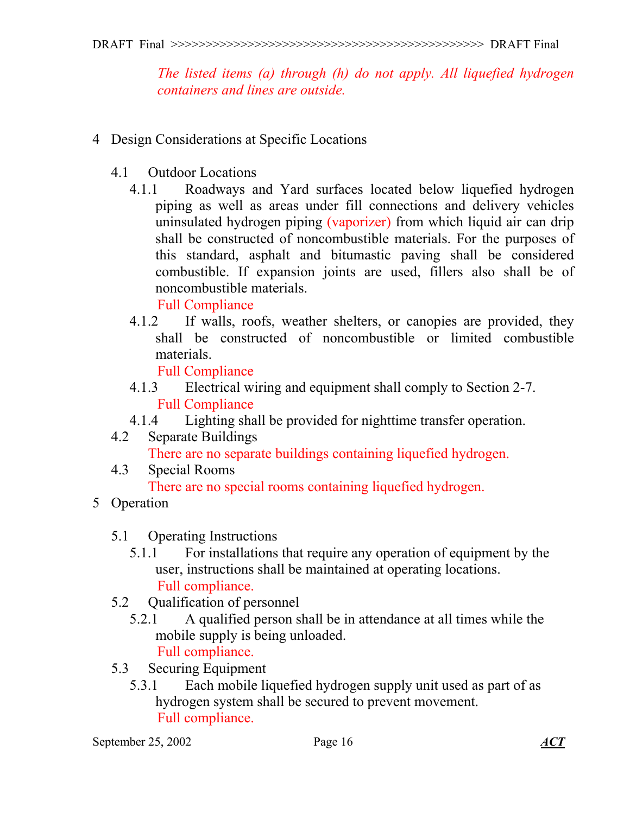### *The listed items (a) through (h) do not apply. All liquefied hydrogen containers and lines are outside.*

- 4 Design Considerations at Specific Locations
	- 4.1 Outdoor Locations
		- 4.1.1 Roadways and Yard surfaces located below liquefied hydrogen piping as well as areas under fill connections and delivery vehicles uninsulated hydrogen piping (vaporizer) from which liquid air can drip shall be constructed of noncombustible materials. For the purposes of this standard, asphalt and bitumastic paving shall be considered combustible. If expansion joints are used, fillers also shall be of noncombustible materials.

### Full Compliance

4.1.2 If walls, roofs, weather shelters, or canopies are provided, they shall be constructed of noncombustible or limited combustible materials.

Full Compliance

- 4.1.3 Electrical wiring and equipment shall comply to Section 2-7. Full Compliance
- 4.1.4 Lighting shall be provided for nighttime transfer operation.
- 4.2 Separate Buildings There are no separate buildings containing liquefied hydrogen.
- 4.3 Special Rooms

There are no special rooms containing liquefied hydrogen.

- 5 Operation
	- 5.1 Operating Instructions
		- 5.1.1 For installations that require any operation of equipment by the user, instructions shall be maintained at operating locations. Full compliance.
	- 5.2 Qualification of personnel
		- 5.2.1 A qualified person shall be in attendance at all times while the mobile supply is being unloaded. Full compliance.
	- 5.3 Securing Equipment
		- 5.3.1 Each mobile liquefied hydrogen supply unit used as part of as hydrogen system shall be secured to prevent movement. Full compliance.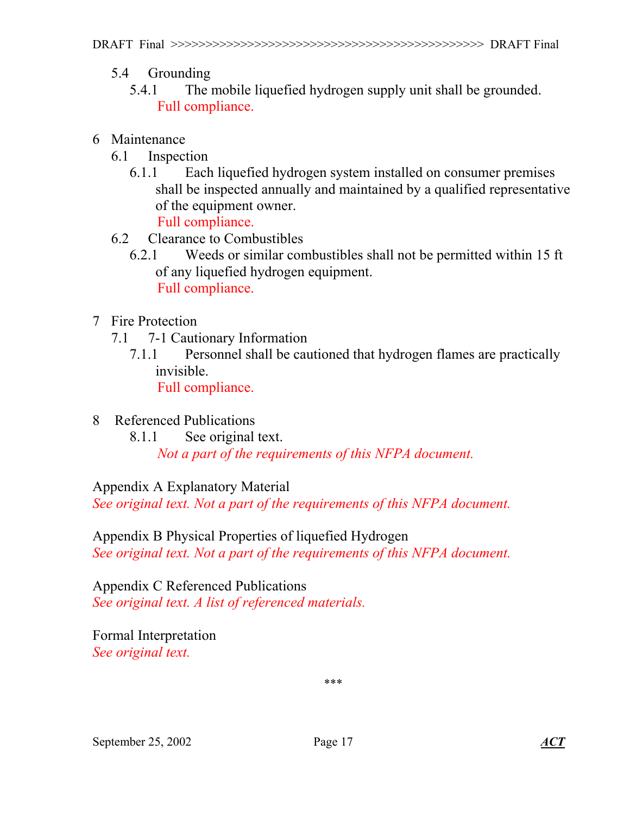## 5.4 Grounding

- 5.4.1 The mobile liquefied hydrogen supply unit shall be grounded. Full compliance.
- 6 Maintenance
	- 6.1 Inspection
		- 6.1.1 Each liquefied hydrogen system installed on consumer premises shall be inspected annually and maintained by a qualified representative of the equipment owner. Full compliance.
	- 6.2 Clearance to Combustibles
		- 6.2.1 Weeds or similar combustibles shall not be permitted within 15 ft of any liquefied hydrogen equipment. Full compliance.
- 7 Fire Protection
	- 7.1 7-1 Cautionary Information
		- 7.1.1 Personnel shall be cautioned that hydrogen flames are practically invisible. Full compliance.
			-
- 8 Referenced Publications
	- 8.1.1 See original text. *Not a part of the requirements of this NFPA document.*

Appendix A Explanatory Material

*See original text. Not a part of the requirements of this NFPA document.* 

Appendix B Physical Properties of liquefied Hydrogen *See original text. Not a part of the requirements of this NFPA document.* 

Appendix C Referenced Publications *See original text. A list of referenced materials.* 

Formal Interpretation *See original text.* 

\*\*\*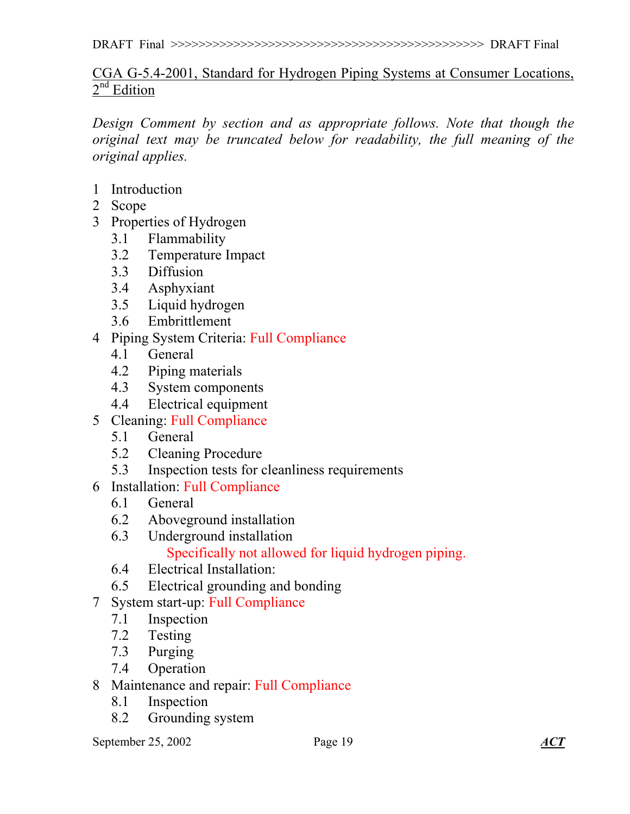### CGA G-5.4-2001, Standard for Hydrogen Piping Systems at Consumer Locations,  $2<sup>nd</sup>$  Edition

*Design Comment by section and as appropriate follows. Note that though the original text may be truncated below for readability, the full meaning of the original applies.* 

- 1 Introduction
- 2 Scope
- 3 Properties of Hydrogen
	- 3.1 Flammability
	- 3.2 Temperature Impact
	- 3.3 Diffusion
	- 3.4 Asphyxiant
	- 3.5 Liquid hydrogen
	- 3.6 Embrittlement
- 4 Piping System Criteria: Full Compliance
	- 4.1 General
	- 4.2 Piping materials
	- 4.3 System components
	- 4.4 Electrical equipment
- 5 Cleaning: Full Compliance
	- 5.1 General
	- 5.2 Cleaning Procedure
	- 5.3 Inspection tests for cleanliness requirements
- 6 Installation: Full Compliance
	- 6.1 General
	- 6.2 Aboveground installation
	- 6.3 Underground installation

Specifically not allowed for liquid hydrogen piping.

- 6.4 Electrical Installation:
- 6.5 Electrical grounding and bonding
- 7 System start-up: Full Compliance
	- 7.1 Inspection
	- 7.2 Testing
	- 7.3 Purging
	- 7.4 Operation
- 8 Maintenance and repair: Full Compliance
	- 8.1 Inspection
	- 8.2 Grounding system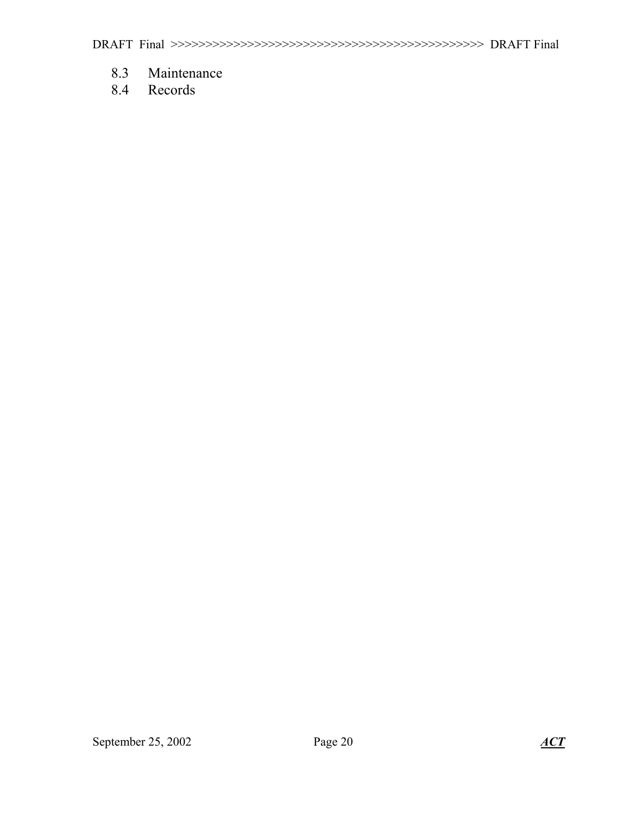- 8.3 Maintenance
- 8.4 Records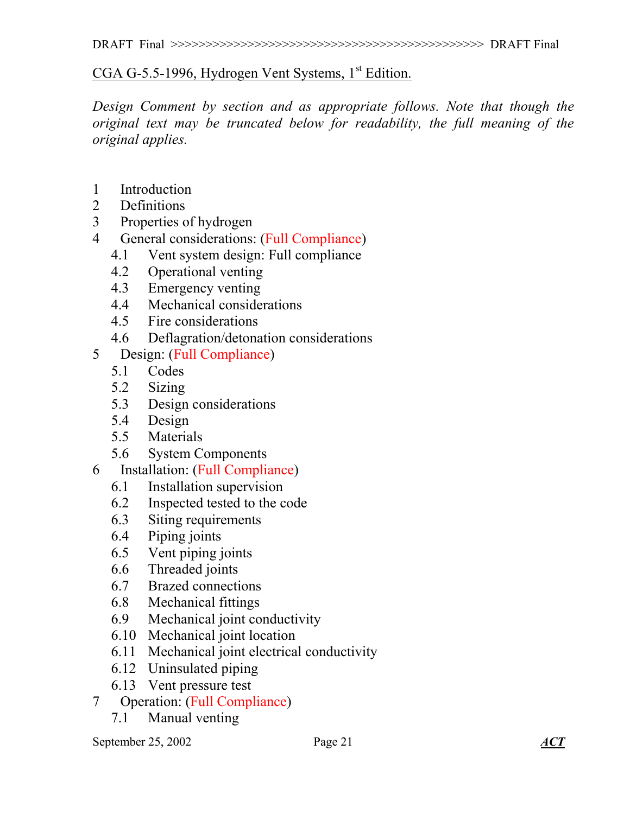### CGA G-5.5-1996, Hydrogen Vent Systems, 1<sup>st</sup> Edition.

*Design Comment by section and as appropriate follows. Note that though the original text may be truncated below for readability, the full meaning of the original applies.* 

- 1 Introduction
- 2 Definitions
- 3 Properties of hydrogen
- 4 General considerations: (Full Compliance)
	- 4.1 Vent system design: Full compliance
	- 4.2 Operational venting
	- 4.3 Emergency venting
	- 4.4 Mechanical considerations
	- 4.5 Fire considerations
	- 4.6 Deflagration/detonation considerations
- 5 Design: (Full Compliance)
	- 5.1 Codes
	- 5.2 Sizing
	- 5.3 Design considerations
	- 5.4 Design
	- 5.5 Materials
	- 5.6 System Components
- 6 Installation: (Full Compliance)
	- 6.1 Installation supervision
	- 6.2 Inspected tested to the code
	- 6.3 Siting requirements
	- 6.4 Piping joints
	- 6.5 Vent piping joints
	- 6.6 Threaded joints
	- 6.7 Brazed connections
	- 6.8 Mechanical fittings
	- 6.9 Mechanical joint conductivity
	- 6.10 Mechanical joint location
	- 6.11 Mechanical joint electrical conductivity
	- 6.12 Uninsulated piping
	- 6.13 Vent pressure test
- 7 Operation: (Full Compliance)
	- 7.1 Manual venting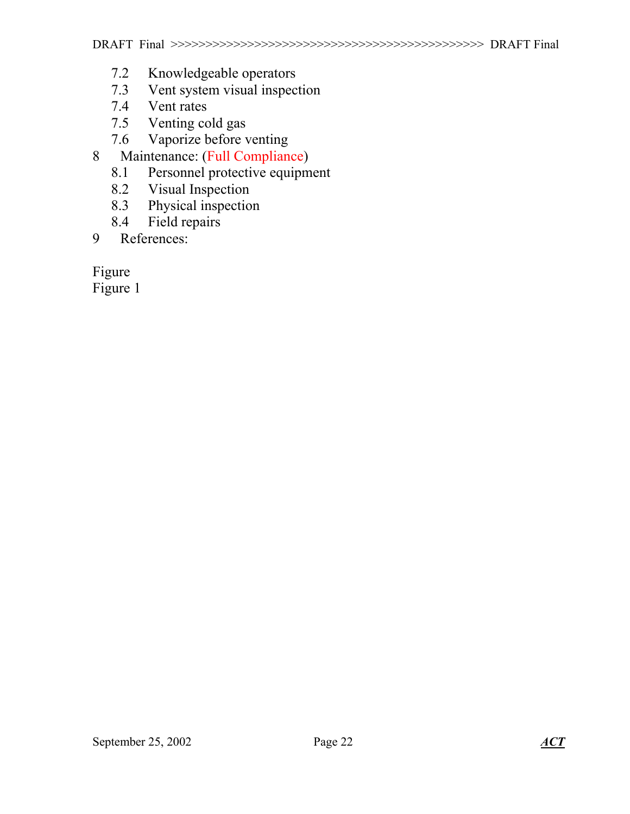- 7.2 Knowledgeable operators
- 7.3 Vent system visual inspection
- 7.4 Vent rates
- 7.5 Venting cold gas
- 7.6 Vaporize before venting
- 8 Maintenance: (Full Compliance)
	- 8.1 Personnel protective equipment
	- 8.2 Visual Inspection
	- 8.3 Physical inspection
	- 8.4 Field repairs
- 9 References:

Figure

Figure 1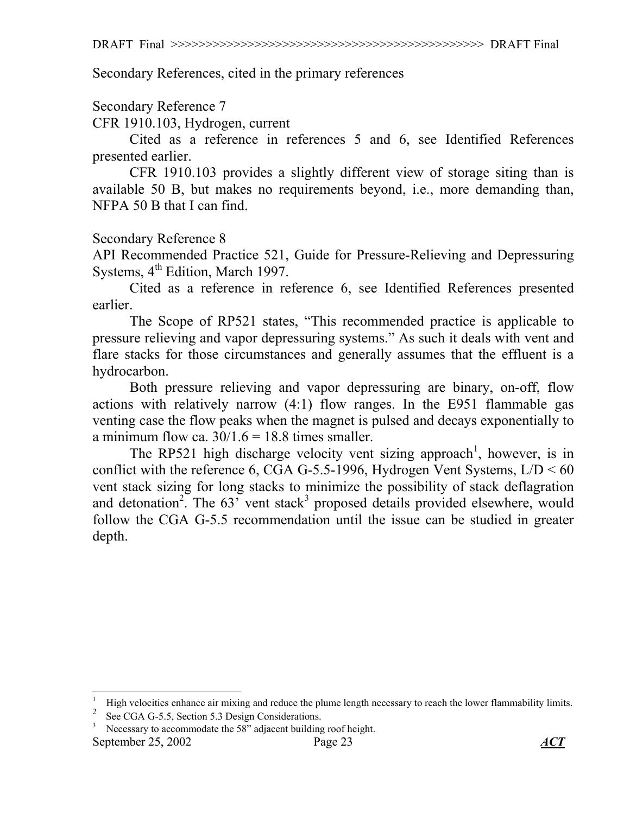Secondary References, cited in the primary references

#### Secondary Reference 7

CFR 1910.103, Hydrogen, current

Cited as a reference in references 5 and 6, see Identified References presented earlier.

CFR 1910.103 provides a slightly different view of storage siting than is available 50 B, but makes no requirements beyond, i.e., more demanding than, NFPA 50 B that I can find.

#### Secondary Reference 8

API Recommended Practice 521, Guide for Pressure-Relieving and Depressuring Systems,  $4<sup>th</sup>$  Edition, March 1997.

 Cited as a reference in reference 6, see Identified References presented earlier.

The Scope of RP521 states, "This recommended practice is applicable to pressure relieving and vapor depressuring systems." As such it deals with vent and flare stacks for those circumstances and generally assumes that the effluent is a hydrocarbon.

Both pressure relieving and vapor depressuring are binary, on-off, flow actions with relatively narrow (4:1) flow ranges. In the E951 flammable gas venting case the flow peaks when the magnet is pulsed and decays exponentially to a minimum flow ca.  $30/1.6 = 18.8$  times smaller.

The RP521 high discharge velocity vent sizing approach<sup>1</sup>, however, is in conflict with the reference 6, CGA G-5.5-1996, Hydrogen Vent Systems,  $L/D \le 60$ vent stack sizing for long stacks to minimize the possibility of stack deflagration and detonation<sup>2</sup>. The  $63'$  vent stack<sup>3</sup> proposed details provided elsewhere, would follow the CGA G-5.5 recommendation until the issue can be studied in greater depth.

 $\overline{a}$ 

<sup>1</sup> High velocities enhance air mixing and reduce the plume length necessary to reach the lower flammability limits.

<sup>2</sup> See CGA G-5.5, Section 5.3 Design Considerations.

Necessary to accommodate the 58" adjacent building roof height.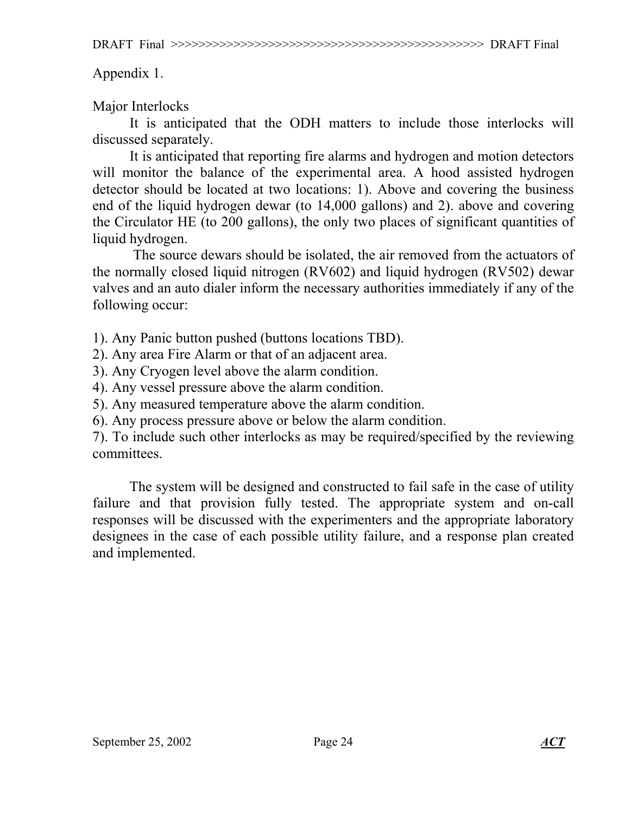## Appendix 1.

Major Interlocks

 It is anticipated that the ODH matters to include those interlocks will discussed separately.

 It is anticipated that reporting fire alarms and hydrogen and motion detectors will monitor the balance of the experimental area. A hood assisted hydrogen detector should be located at two locations: 1). Above and covering the business end of the liquid hydrogen dewar (to 14,000 gallons) and 2). above and covering the Circulator HE (to 200 gallons), the only two places of significant quantities of liquid hydrogen.

 The source dewars should be isolated, the air removed from the actuators of the normally closed liquid nitrogen (RV602) and liquid hydrogen (RV502) dewar valves and an auto dialer inform the necessary authorities immediately if any of the following occur:

1). Any Panic button pushed (buttons locations TBD).

2). Any area Fire Alarm or that of an adjacent area.

3). Any Cryogen level above the alarm condition.

4). Any vessel pressure above the alarm condition.

5). Any measured temperature above the alarm condition.

6). Any process pressure above or below the alarm condition.

7). To include such other interlocks as may be required/specified by the reviewing committees.

 The system will be designed and constructed to fail safe in the case of utility failure and that provision fully tested. The appropriate system and on-call responses will be discussed with the experimenters and the appropriate laboratory designees in the case of each possible utility failure, and a response plan created and implemented.